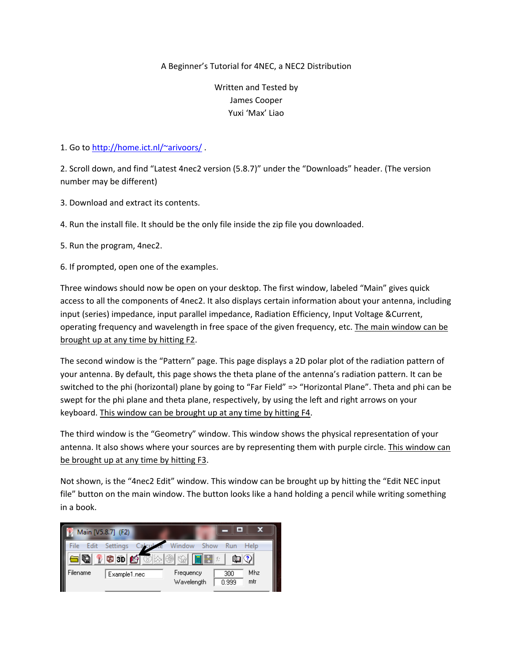## A Beginner's Tutorial for 4NEC, a NEC2 Distribution

Written and Tested by James Cooper Yuxi 'Max' Liao

## 1. Go to http://home.ict.nl/~arivoors/

2. Scroll down, and find "Latest 4nec2 version (5.8.7)" under the "Downloads" header. (The version number may be different)

- 3. Download and extract its contents.
- 4. Run the install file. It should be the only file inside the zip file you downloaded.
- 5. Run the program, 4nec2.
- 6. If prompted, open one of the examples.

Three windows should now be open on your desktop. The first window, labeled "Main" gives quick access to all the components of 4nec2. It also displays certain information about your antenna, including input (series) impedance, input parallel impedance, Radiation Efficiency, Input Voltage &Current, operating frequency and wavelength in free space of the given frequency, etc. The main window can be brought up at any time by hitting F2.

The second window is the "Pattern" page. This page displays a 2D polar plot of the radiation pattern of your antenna. By default, this page shows the theta plane of the antenna's radiation pattern. It can be switched to the phi (horizontal) plane by going to "Far Field" => "Horizontal Plane". Theta and phi can be swept for the phi plane and theta plane, respectively, by using the left and right arrows on your keyboard. This window can be brought up at any time by hitting F4.

The third window is the "Geometry" window. This window shows the physical representation of your antenna. It also shows where your sources are by representing them with purple circle. This window can be brought up at any time by hitting F3.

Not shown, is the "4nec2 Edit" window. This window can be brought up by hitting the "Edit NEC input file" button on the main window. The button looks like a hand holding a pencil while writing something in a book.

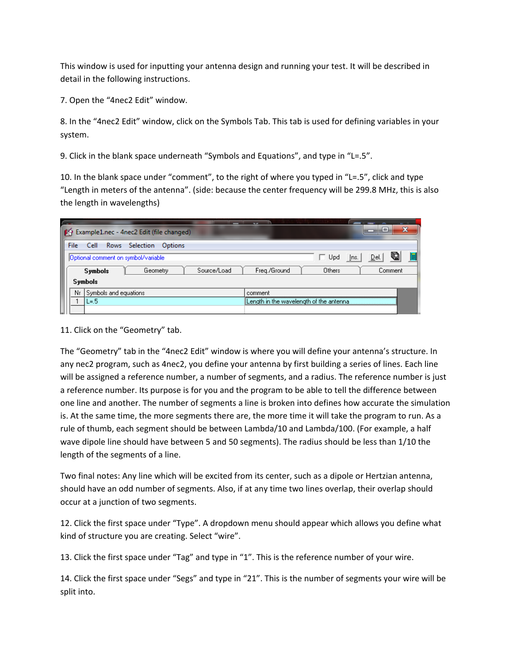This window is used for inputting your antenna design and running your test. It will be described in detail in the following instructions.

7. Open the "4nec2 Edit" window.

8. In the "4nec2 Edit" window, click on the Symbols Tab. This tab is used for defining variables in your system.

9. Click in the blank space underneath "Symbols and Equations", and type in "L=.5".

10. In the blank space under "comment", to the right of where you typed in "L=.5", click and type "Length in meters of the antenna". (side: because the center frequency will be 299.8 MHz, this is also the length in wavelengths)

|                                                                   | m  |                                     | Example1.nec - 4nec2 Edit (file changed) |             |              |                                         |              | ıн                | × |
|-------------------------------------------------------------------|----|-------------------------------------|------------------------------------------|-------------|--------------|-----------------------------------------|--------------|-------------------|---|
| File<br><b>Rows</b><br><b>Selection</b><br><b>Options</b><br>Cell |    |                                     |                                          |             |              |                                         |              |                   |   |
|                                                                   |    | Optional comment on symbol/variable |                                          |             |              | Upd                                     | <u>I</u> ns. | g<br><u>D</u> el. |   |
|                                                                   |    | <b>Symbols</b>                      | Geometry                                 | Source/Load | Freg./Ground | Others                                  |              | Comment           |   |
|                                                                   |    | <b>Symbols</b>                      |                                          |             |              |                                         |              |                   |   |
|                                                                   | Nr | Symbols and equations               |                                          |             | comment      |                                         |              |                   |   |
|                                                                   |    | L=.5                                |                                          |             |              | Length in the wavelength of the antenna |              |                   |   |
|                                                                   |    |                                     |                                          |             |              |                                         |              |                   |   |

## 11. Click on the "Geometry" tab.

The "Geometry" tab in the "4nec2 Edit" window is where you will define your antenna's structure. In any nec2 program, such as 4nec2, you define your antenna by first building a series of lines. Each line will be assigned a reference number, a number of segments, and a radius. The reference number is just a reference number. Its purpose is for you and the program to be able to tell the difference between one line and another. The number of segments a line is broken into defines how accurate the simulation is. At the same time, the more segments there are, the more time it will take the program to run. As a rule of thumb, each segment should be between Lambda/10 and Lambda/100. (For example, a half wave dipole line should have between 5 and 50 segments). The radius should be less than 1/10 the length of the segments of a line.

Two final notes: Any line which will be excited from its center, such as a dipole or Hertzian antenna, should have an odd number of segments. Also, if at any time two lines overlap, their overlap should occur at a junction of two segments.

12. Click the first space under "Type". A dropdown menu should appear which allows you define what kind of structure you are creating. Select "wire".

13. Click the first space under "Tag" and type in "1". This is the reference number of your wire.

14. Click the first space under "Segs" and type in "21". This is the number of segments your wire will be split into.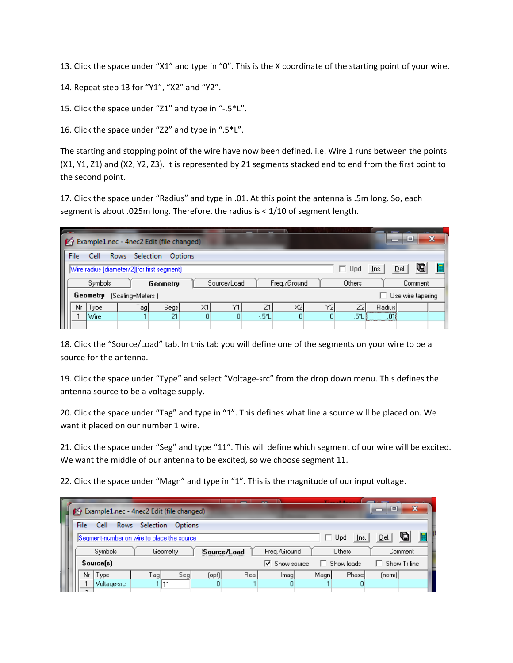13. Click the space under "X1" and type in "0". This is the X coordinate of the starting point of your wire.

14. Repeat step 13 for "Y1", "X2" and "Y2".

15. Click the space under "Z1" and type in "‐.5\*L".

16. Click the space under "Z2" and type in ".5\*L".

The starting and stopping point of the wire have now been defined. i.e. Wire 1 runs between the points (X1, Y1, Z1) and (X2, Y2, Z3). It is represented by 21 segments stacked end to end from the first point to the second point.

17. Click the space under "Radius" and type in .01. At this point the antenna is .5m long. So, each segment is about .025m long. Therefore, the radius is < 1/10 of segment length.

|                                                                   |  |           |         | Example1.nec - 4nec2 Edit (file changed) |                             |                   |                |     |              |      |                          | e | × |
|-------------------------------------------------------------------|--|-----------|---------|------------------------------------------|-----------------------------|-------------------|----------------|-----|--------------|------|--------------------------|---|---|
| File<br><b>Rows</b><br><b>Selection</b><br>Cell<br><b>Options</b> |  |           |         |                                          |                             |                   |                |     |              |      |                          |   |   |
| Wire radius [diameter/2](for first segment)                       |  |           |         |                                          |                             |                   |                | Upd | <u>I</u> ns. | Del. | g                        |   |   |
| <b>Symbols</b><br>Geometry                                        |  |           |         |                                          | Source/Load<br>Freg./Ground |                   |                |     | Others       |      | Comment                  |   |   |
| Geometry<br>(Scaling=Meters)                                      |  |           |         |                                          |                             | Use wire tapering |                |     |              |      |                          |   |   |
|                                                                   |  | Nr   Type | $T$ ag] | Segs                                     | $\times1$                   | Υ1                | Z1             | X2  | Y21          | Z2I  | Radiusl                  |   |   |
|                                                                   |  | Wire      |         | 21                                       | 0                           | 0                 | $-5^{\circ}$ L | 0   | 0            | .5*L | ,,,,,,,,,,,,,,,,,,,,,,,, |   |   |
|                                                                   |  |           |         |                                          |                             |                   |                |     |              |      |                          |   |   |

18. Click the "Source/Load" tab. In this tab you will define one of the segments on your wire to be a source for the antenna.

19. Click the space under "Type" and select "Voltage‐src" from the drop down menu. This defines the antenna source to be a voltage supply.

20. Click the space under "Tag" and type in "1". This defines what line a source will be placed on. We want it placed on our number 1 wire.

21. Click the space under "Seg" and type "11". This will define which segment of our wire will be excited. We want the middle of our antenna to be excited, so we choose segment 11.

22. Click the space under "Magn" and type in "1". This is the magnitude of our input voltage.

| I                                                          |                                    |                                                                                             | Example1.nec - 4nec2 Edit (file changed) |         |     |       |      |                                        |              |            | ∣⊟     | æ            |
|------------------------------------------------------------|------------------------------------|---------------------------------------------------------------------------------------------|------------------------------------------|---------|-----|-------|------|----------------------------------------|--------------|------------|--------|--------------|
| File<br><b>Selection</b><br>Rows<br>Cell<br><b>Options</b> |                                    |                                                                                             |                                          |         |     |       |      |                                        |              |            |        |              |
|                                                            |                                    | G<br>ls.<br><u>Del</u><br>Segment-number on wire to place the source<br>Upd<br><u>I</u> ns. |                                          |         |     |       |      |                                        |              |            |        |              |
|                                                            | Symbols<br>Geometry<br>Source/Load |                                                                                             |                                          |         |     |       |      |                                        | Freq./Ground | Others     |        | Comment      |
|                                                            |                                    |                                                                                             | Source[s]                                |         |     |       |      | $\overline{\triangledown}$ Show source |              | Show loads |        | Show Tr-line |
|                                                            |                                    | Nr                                                                                          | Type                                     | $T$ ag) | Seg | [opt] | Real | lmagl                                  | Magni        | Phasel     | (norm) |              |
|                                                            |                                    | o.                                                                                          | Voltage-src                              |         | 11  | ۵     |      | 0                                      |              | 0          |        |              |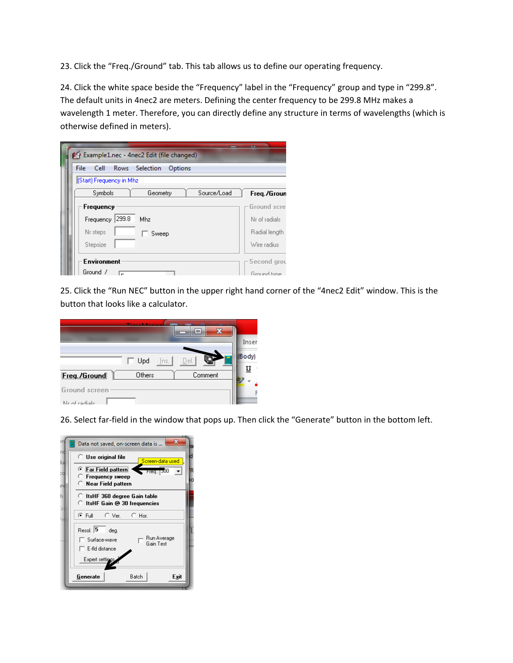23. Click the "Freq./Ground" tab. This tab allows us to define our operating frequency.

24. Click the white space beside the "Frequency" label in the "Frequency" group and type in "299.8". The default units in 4nec2 are meters. Defining the center frequency to be 299.8 MHz makes a wavelength 1 meter. Therefore, you can directly define any structure in terms of wavelengths (which is otherwise defined in meters).

| <sup>24</sup> Example1.nec - 4nec2 Edit (file changed) |               |
|--------------------------------------------------------|---------------|
| File<br>Rows Selection<br>Cell<br>Options              |               |
| (Start) Frequency in Mhz                               |               |
| Symbols<br>Source/Load<br>Geometry                     | Freq./Groun   |
| Frequency                                              | Ground scre   |
| Frequency 299.8<br>Mhz                                 | Nr of radials |
| Nr steps<br>Sweep                                      | Radial length |
| Stepsize                                               | Wire radius   |
| <b>Environment</b>                                     | -Second grou  |
| Ground /                                               | Ground tune.  |

25. Click the "Run NEC" button in the upper right hand corner of the "4nec2 Edit" window. This is the button that looks like a calculator.

|                                 |                    | ▭       |       |
|---------------------------------|--------------------|---------|-------|
|                                 |                    |         | Inser |
|                                 | $\Box$ Upd<br>Ins. | Del.    | Body) |
| Freg./Ground                    | Others             | Comment |       |
| Ground screen<br>Nr. of radiale |                    |         |       |

26. Select far-field in the window that pops up. Then click the "Generate" button in the bottom left.

|          | $\mathbf x$<br>Data not saved, on-screen data is                                                               |  |
|----------|----------------------------------------------------------------------------------------------------------------|--|
| nd<br>tи | $\subseteq$ Use original file<br>Screen-data used                                                              |  |
| эd<br>mó | <b>E</b> Far Field pattern<br>$\blacksquare$ Freq: [300<br>C Frequency sweep<br>$\subseteq$ Near Field pattern |  |
| h<br>ăп  | C.<br>ItsHF 360 degree Gain table<br>ItsHF Gain @ 30 frequencies                                               |  |
| ۰        | ⊕ Full<br>$\subset$ Ver.<br>$C$ Hor.                                                                           |  |
|          | Resol. $\boxed{5}$<br>dea.<br>Run Average<br>Surface-wave<br>Gain Test<br>E-fld distance                       |  |
|          | Expert settings.                                                                                               |  |
|          | Batch<br>Exit<br>Generate                                                                                      |  |